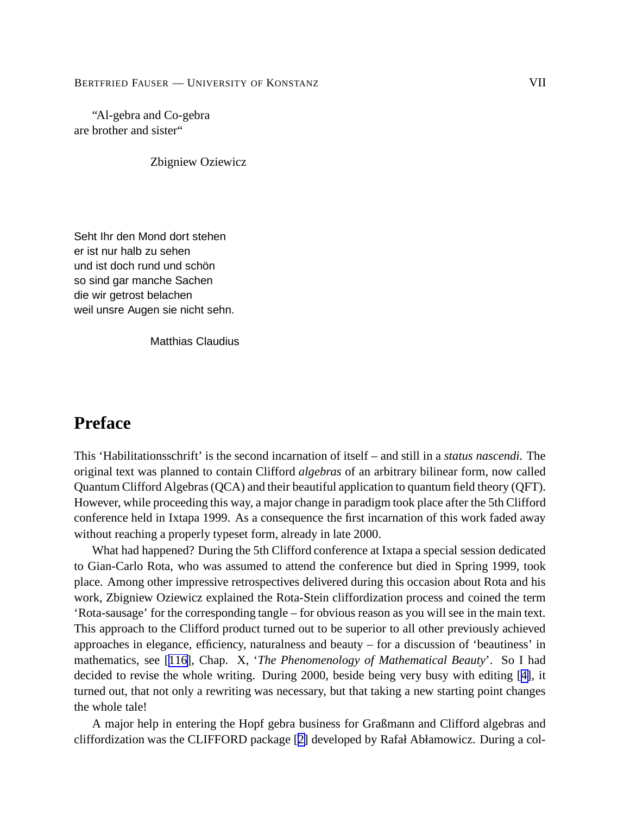"Al-gebra and Co-gebra are brother and sister"

Zbigniew Oziewicz

Seht Ihr den Mond dort stehen er ist nur halb zu sehen und ist doch rund und schön so sind gar manche Sachen die wir getrost belachen weil unsre Augen sie nicht sehn.

Matthias Claudius

## **Preface**

This 'Habilitationsschrift' is the second incarnation of itself – and still in a *status nascendi.* The original text was planned to contain Clifford *algebras* of an arbitrary bilinear form, now called Quantum Clifford Algebras(QCA) and their beautiful application to quantum field theory (QFT). However, while proceeding this way, a major change in paradigm took place after the 5th Clifford conference held in Ixtapa 1999. As a consequence the first incarnation of this work faded away without reaching a properly typeset form, already in late 2000.

What had happened? During the 5th Clifford conference at Ixtapa a special session dedicated to Gian-Carlo Rota, who was assumed to attend the conference but died in Spring 1999, took place. Among other impressive retrospectives delivered during this occasion about Rota and his work, Zbigniew Oziewicz explained the Rota-Stein cliffordization process and coined the term 'Rota-sausage' for the corresponding tangle – for obvious reason as you will see in the main text. This approach to the Clifford product turned out to be superior to all other previously achieved approaches in elegance, efficiency, naturalness and beauty – for a discussion of 'beautiness' in mathematics, see [116], Chap. X, '*The Phenomenology of Mathematical Beauty*'. So I had decided to revise the whole writing. During 2000, beside being very busy with editing [4], it turned out, that not only a rewriting was necessary, but that taking a new starting point changes the whole tale!

A major help in entering the Hopf gebra business for Graßmann and Clifford algebras and cliffordization was the CLIFFORD package [2] developed by Rafał Abłamowicz. During a col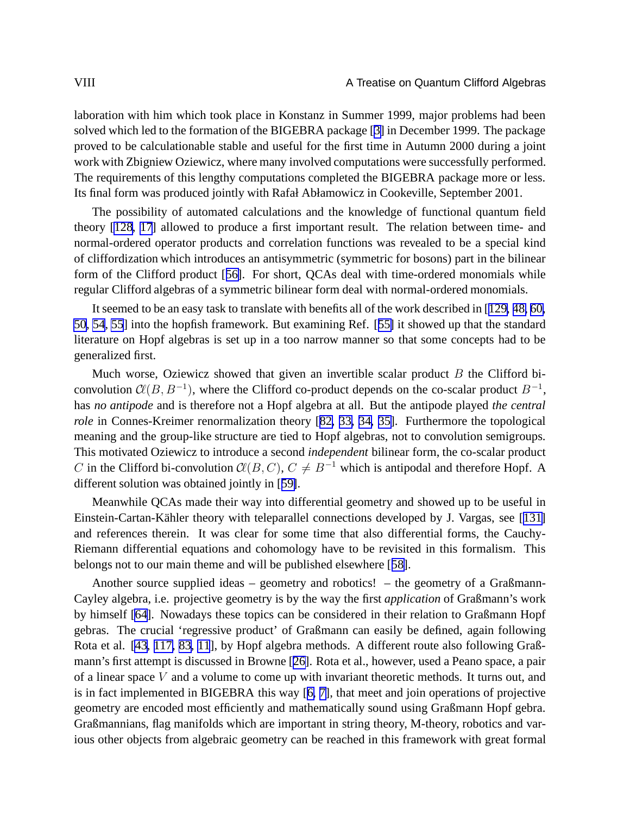laboration with him which took place in Konstanz in Summer 1999, major problems had been solved which led to the formation of the BIGEBRA package [3] in December 1999. The package proved to be calculationable stable and useful for the first time in Autumn 2000 during a joint work with Zbigniew Oziewicz, where many involved computations were successfully performed. The requirements of this lengthy computations completed the BIGEBRA package more or less. Its final form was produced jointly with Rafał Abłamowicz in Cookeville, September 2001.

The possibility of automated calculations and the knowledge of functional quantum field theory [128, 17] allowed to produce a first important result. The relation between time- and normal-ordered operator products and correlation functions was revealed to be a special kind of cliffordization which introduces an antisymmetric (symmetric for bosons) part in the bilinear form of the Clifford product [56]. For short, QCAs deal with time-ordered monomials while regular Clifford algebras of a symmetric bilinear form deal with normal-ordered monomials.

It seemed to be an easy task to translate with benefits all of the work described in [129, 48, 60, 50, 54, 55] into the hopfish framework. But examining Ref. [55] it showed up that the standard literature on Hopf algebras is set up in a too narrow manner so that some concepts had to be generalized first.

Much worse, Oziewicz showed that given an invertible scalar product  $B$  the Clifford biconvolution  $Cl(B, B^{-1})$ , where the Clifford co-product depends on the co-scalar product  $B^{-1}$ , has *no antipode* and is therefore not a Hopf algebra at all. But the antipode played *the central role* in Connes-Kreimer renormalization theory [82, 33, 34, 35]. Furthermore the topological meaning and the group-like structure are tied to Hopf algebras, not to convolution semigroups. This motivated Oziewicz to introduce a second *independent* bilinear form, the co-scalar product C in the Clifford bi-convolution  $Cl(B, C), C \neq B^{-1}$  which is antipodal and therefore Hopf. A different solution was obtained jointly in [59].

Meanwhile QCAs made their way into differential geometry and showed up to be useful in Einstein-Cartan-Kähler theory with teleparallel connections developed by J. Vargas, see [131] and references therein. It was clear for some time that also differential forms, the Cauchy-Riemann differential equations and cohomology have to be revisited in this formalism. This belongs not to our main theme and will be published elsewhere [58].

Another source supplied ideas – geometry and robotics! – the geometry of a Graßmann-Cayley algebra, i.e. projective geometry is by the way the first *application* of Graßmann's work by himself [64]. Nowadays these topics can be considered in their relation to Graßmann Hopf gebras. The crucial 'regressive product' of Graßmann can easily be defined, again following Rota et al. [43, 117, 83, 11], by Hopf algebra methods. A different route also following Graßmann's first attempt is discussed in Browne [26]. Rota et al., however, used a Peano space, a pair of a linear space  $V$  and a volume to come up with invariant theoretic methods. It turns out, and is in fact implemented in BIGEBRA this way [6, 7], that meet and join operations of projective geometry are encoded most efficiently and mathematically sound using Graßmann Hopf gebra. Graßmannians, flag manifolds which are important in string theory, M-theory, robotics and various other objects from algebraic geometry can be reached in this framework with great formal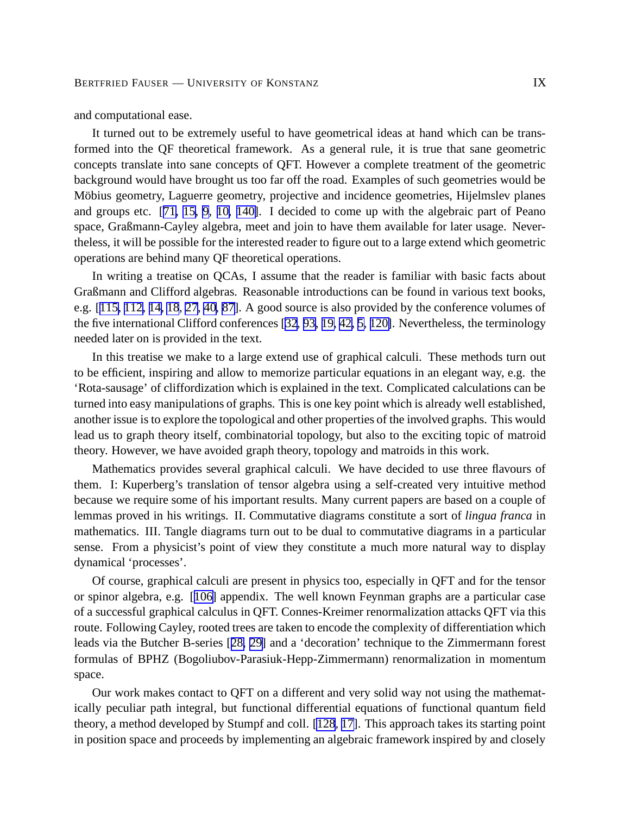and computational ease.

It turned out to be extremely useful to have geometrical ideas at hand which can be transformed into the QF theoretical framework. As a general rule, it is true that sane geometric concepts translate into sane concepts of QFT. However a complete treatment of the geometric background would have brought us too far off the road. Examples of such geometries would be Möbius geometry, Laguerre geometry, projective and incidence geometries, Hijelmslev planes and groups etc. [71, 15, 9, 10, 140]. I decided to come up with the algebraic part of Peano space, Graßmann-Cayley algebra, meet and join to have them available for later usage. Nevertheless, it will be possible for the interested reader to figure out to a large extend which geometric operations are behind many QF theoretical operations.

In writing a treatise on QCAs, I assume that the reader is familiar with basic facts about Graßmann and Clifford algebras. Reasonable introductions can be found in various text books, e.g. [115, 112, 14, 18, 27, 40, 87]. A good source is also provided by the conference volumes of the five international Clifford conferences [32, 93, 19, 42, 5, 120]. Nevertheless, the terminology needed later on is provided in the text.

In this treatise we make to a large extend use of graphical calculi. These methods turn out to be efficient, inspiring and allow to memorize particular equations in an elegant way, e.g. the 'Rota-sausage' of cliffordization which is explained in the text. Complicated calculations can be turned into easy manipulations of graphs. This is one key point which is already well established, another issue is to explore the topological and other properties of the involved graphs. This would lead us to graph theory itself, combinatorial topology, but also to the exciting topic of matroid theory. However, we have avoided graph theory, topology and matroids in this work.

Mathematics provides several graphical calculi. We have decided to use three flavours of them. I: Kuperberg's translation of tensor algebra using a self-created very intuitive method because we require some of his important results. Many current papers are based on a couple of lemmas proved in his writings. II. Commutative diagrams constitute a sort of *lingua franca* in mathematics. III. Tangle diagrams turn out to be dual to commutative diagrams in a particular sense. From a physicist's point of view they constitute a much more natural way to display dynamical 'processes'.

Of course, graphical calculi are present in physics too, especially in QFT and for the tensor or spinor algebra, e.g. [106] appendix. The well known Feynman graphs are a particular case of a successful graphical calculus in QFT. Connes-Kreimer renormalization attacks QFT via this route. Following Cayley, rooted trees are taken to encode the complexity of differentiation which leads via the Butcher B-series [28, 29] and a 'decoration' technique to the Zimmermann forest formulas of BPHZ (Bogoliubov-Parasiuk-Hepp-Zimmermann) renormalization in momentum space.

Our work makes contact to QFT on a different and very solid way not using the mathematically peculiar path integral, but functional differential equations of functional quantum field theory, a method developed by Stumpf and coll. [128, 17]. This approach takes its starting point in position space and proceeds by implementing an algebraic framework inspired by and closely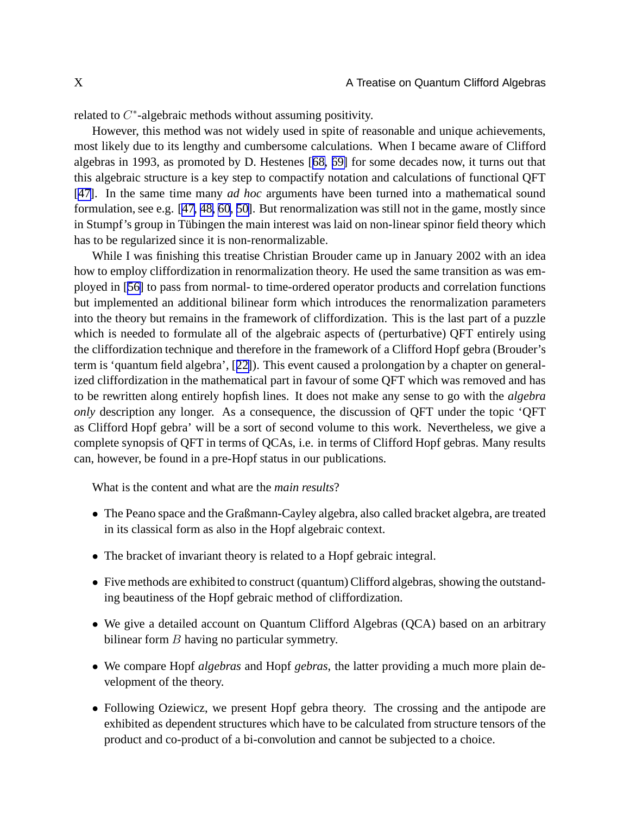related to  $C^*$ -algebraic methods without assuming positivity.

However, this method was not widely used in spite of reasonable and unique achievements, most likely due to its lengthy and cumbersome calculations. When I became aware of Clifford algebras in 1993, as promoted by D. Hestenes [68, 69] for some decades now, it turns out that this algebraic structure is a key step to compactify notation and calculations of functional QFT [47]. In the same time many *ad hoc* arguments have been turned into a mathematical sound formulation, see e.g. [47, 48, 60, 50]. But renormalization was still not in the game, mostly since in Stumpf's group in Tübingen the main interest was laid on non-linear spinor field theory which has to be regularized since it is non-renormalizable.

While I was finishing this treatise Christian Brouder came up in January 2002 with an idea how to employ cliffordization in renormalization theory. He used the same transition as was employed in [56] to pass from normal- to time-ordered operator products and correlation functions but implemented an additional bilinear form which introduces the renormalization parameters into the theory but remains in the framework of cliffordization. This is the last part of a puzzle which is needed to formulate all of the algebraic aspects of (perturbative) QFT entirely using the cliffordization technique and therefore in the framework of a Clifford Hopf gebra (Brouder's term is 'quantum field algebra', [22]). This event caused a prolongation by a chapter on generalized cliffordization in the mathematical part in favour of some QFT which was removed and has to be rewritten along entirely hopfish lines. It does not make any sense to go with the *algebra only* description any longer. As a consequence, the discussion of QFT under the topic 'QFT as Clifford Hopf gebra' will be a sort of second volume to this work. Nevertheless, we give a complete synopsis of QFT in terms of QCAs, i.e. in terms of Clifford Hopf gebras. Many results can, however, be found in a pre-Hopf status in our publications.

What is the content and what are the *main results*?

- The Peano space and the Graßmann-Cayley algebra, also called bracket algebra, are treated in its classical form as also in the Hopf algebraic context.
- The bracket of invariant theory is related to a Hopf gebraic integral.
- Five methods are exhibited to construct (quantum) Clifford algebras, showing the outstanding beautiness of the Hopf gebraic method of cliffordization.
- We give a detailed account on Quantum Clifford Algebras (QCA) based on an arbitrary bilinear form B having no particular symmetry.
- We compare Hopf *algebras* and Hopf *gebras*, the latter providing a much more plain development of the theory.
- Following Oziewicz, we present Hopf gebra theory. The crossing and the antipode are exhibited as dependent structures which have to be calculated from structure tensors of the product and co-product of a bi-convolution and cannot be subjected to a choice.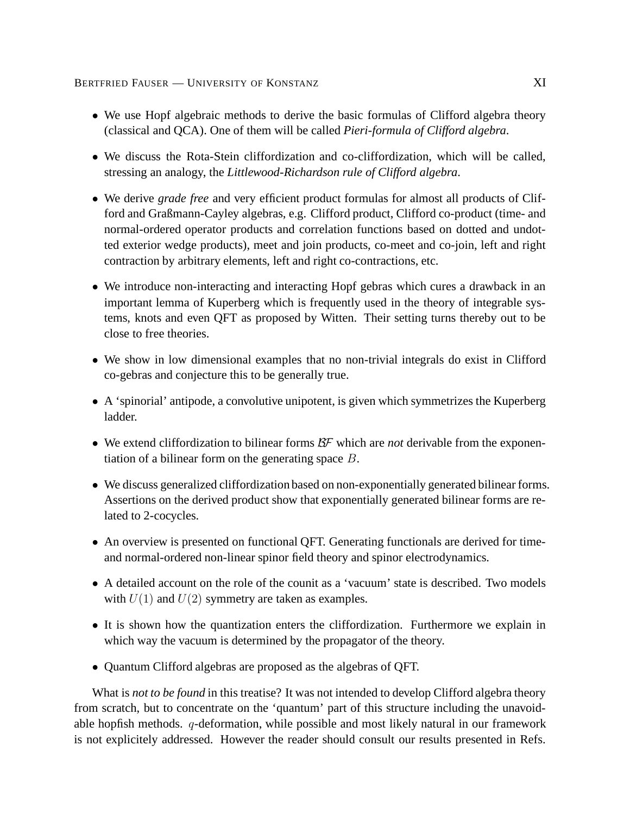- We use Hopf algebraic methods to derive the basic formulas of Clifford algebra theory (classical and QCA). One of them will be called *Pieri-formula of Clifford algebra*.
- We discuss the Rota-Stein cliffordization and co-cliffordization, which will be called, stressing an analogy, the *Littlewood-Richardson rule of Clifford algebra*.
- We derive *grade free* and very efficient product formulas for almost all products of Clifford and Graßmann-Cayley algebras, e.g. Clifford product, Clifford co-product (time- and normal-ordered operator products and correlation functions based on dotted and undotted exterior wedge products), meet and join products, co-meet and co-join, left and right contraction by arbitrary elements, left and right co-contractions, etc.
- We introduce non-interacting and interacting Hopf gebras which cures a drawback in an important lemma of Kuperberg which is frequently used in the theory of integrable systems, knots and even QFT as proposed by Witten. Their setting turns thereby out to be close to free theories.
- We show in low dimensional examples that no non-trivial integrals do exist in Clifford co-gebras and conjecture this to be generally true.
- A 'spinorial' antipode, a convolutive unipotent, is given which symmetrizes the Kuperberg ladder.
- We extend cliffordization to bilinear forms  $BF$  which are *not* derivable from the exponentiation of a bilinear form on the generating space  $B$ .
- We discuss generalized cliffordization based on non-exponentially generated bilinear forms. Assertions on the derived product show that exponentially generated bilinear forms are related to 2-cocycles.
- An overview is presented on functional QFT. Generating functionals are derived for timeand normal-ordered non-linear spinor field theory and spinor electrodynamics.
- A detailed account on the role of the counit as a 'vacuum' state is described. Two models with  $U(1)$  and  $U(2)$  symmetry are taken as examples.
- It is shown how the quantization enters the cliffordization. Furthermore we explain in which way the vacuum is determined by the propagator of the theory.
- Quantum Clifford algebras are proposed as the algebras of QFT.

What is *not to be found* in this treatise? It was not intended to develop Clifford algebra theory from scratch, but to concentrate on the 'quantum' part of this structure including the unavoidable hopfish methods.  $q$ -deformation, while possible and most likely natural in our framework is not explicitely addressed. However the reader should consult our results presented in Refs.